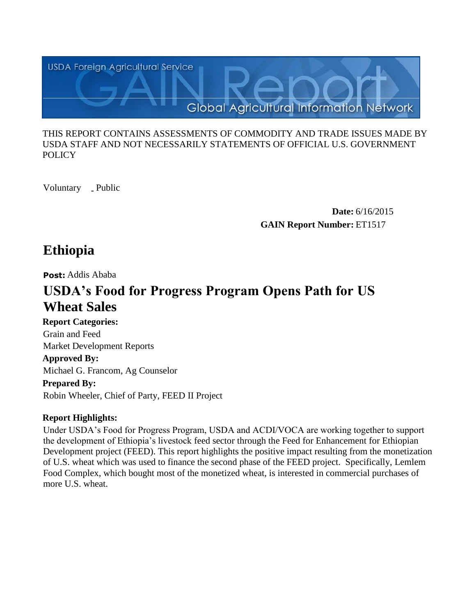

#### THIS REPORT CONTAINS ASSESSMENTS OF COMMODITY AND TRADE ISSUES MADE BY USDA STAFF AND NOT NECESSARILY STATEMENTS OF OFFICIAL U.S. GOVERNMENT **POLICY**

Voluntary \_ Public

**Date:** 6/16/2015 **GAIN Report Number:** ET1517

## **Ethiopia**

**Post:** Addis Ababa

# **USDA's Food for Progress Program Opens Path for US Wheat Sales**

**Report Categories:** Grain and Feed

Market Development Reports

**Approved By:** 

Michael G. Francom, Ag Counselor

## **Prepared By:**

Robin Wheeler, Chief of Party, FEED II Project

## **Report Highlights:**

Under USDA's Food for Progress Program, USDA and ACDI/VOCA are working together to support the development of Ethiopia's livestock feed sector through the Feed for Enhancement for Ethiopian Development project (FEED). This report highlights the positive impact resulting from the monetization of U.S. wheat which was used to finance the second phase of the FEED project. Specifically, Lemlem Food Complex, which bought most of the monetized wheat, is interested in commercial purchases of more U.S. wheat.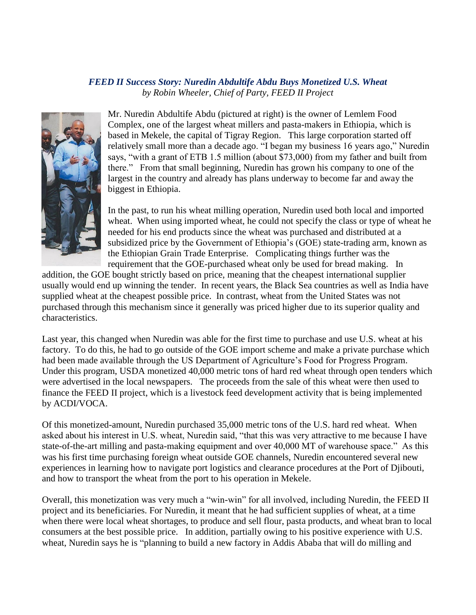#### *FEED II Success Story: Nuredin Abdultife Abdu Buys Monetized U.S. Wheat by Robin Wheeler, Chief of Party, FEED II Project*



Mr. Nuredin Abdultife Abdu (pictured at right) is the owner of Lemlem Food Complex, one of the largest wheat millers and pasta-makers in Ethiopia, which is based in Mekele, the capital of Tigray Region. This large corporation started off relatively small more than a decade ago. "I began my business 16 years ago," Nuredin says, "with a grant of ETB 1.5 million (about \$73,000) from my father and built from there." From that small beginning, Nuredin has grown his company to one of the largest in the country and already has plans underway to become far and away the biggest in Ethiopia.

In the past, to run his wheat milling operation, Nuredin used both local and imported wheat. When using imported wheat, he could not specify the class or type of wheat he needed for his end products since the wheat was purchased and distributed at a subsidized price by the Government of Ethiopia's (GOE) state-trading arm, known as the Ethiopian Grain Trade Enterprise. Complicating things further was the requirement that the GOE-purchased wheat only be used for bread making. In

addition, the GOE bought strictly based on price, meaning that the cheapest international supplier usually would end up winning the tender. In recent years, the Black Sea countries as well as India have supplied wheat at the cheapest possible price. In contrast, wheat from the United States was not purchased through this mechanism since it generally was priced higher due to its superior quality and characteristics.

Last year, this changed when Nuredin was able for the first time to purchase and use U.S. wheat at his factory. To do this, he had to go outside of the GOE import scheme and make a private purchase which had been made available through the US Department of Agriculture's Food for Progress Program. Under this program, USDA monetized 40,000 metric tons of hard red wheat through open tenders which were advertised in the local newspapers. The proceeds from the sale of this wheat were then used to finance the FEED II project, which is a livestock feed development activity that is being implemented by ACDI/VOCA.

Of this monetized-amount, Nuredin purchased 35,000 metric tons of the U.S. hard red wheat. When asked about his interest in U.S. wheat, Nuredin said, "that this was very attractive to me because I have state-of-the-art milling and pasta-making equipment and over 40,000 MT of warehouse space." As this was his first time purchasing foreign wheat outside GOE channels, Nuredin encountered several new experiences in learning how to navigate port logistics and clearance procedures at the Port of Djibouti, and how to transport the wheat from the port to his operation in Mekele.

Overall, this monetization was very much a "win-win" for all involved, including Nuredin, the FEED II project and its beneficiaries. For Nuredin, it meant that he had sufficient supplies of wheat, at a time when there were local wheat shortages, to produce and sell flour, pasta products, and wheat bran to local consumers at the best possible price. In addition, partially owing to his positive experience with U.S. wheat, Nuredin says he is "planning to build a new factory in Addis Ababa that will do milling and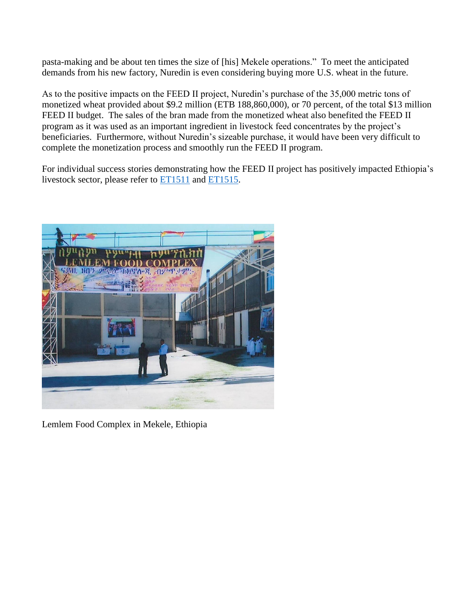pasta-making and be about ten times the size of [his] Mekele operations." To meet the anticipated demands from his new factory, Nuredin is even considering buying more U.S. wheat in the future.

As to the positive impacts on the FEED II project, Nuredin's purchase of the 35,000 metric tons of monetized wheat provided about \$9.2 million (ETB 188,860,000), or 70 percent, of the total \$13 million FEED II budget. The sales of the bran made from the monetized wheat also benefited the FEED II program as it was used as an important ingredient in livestock feed concentrates by the project's beneficiaries. Furthermore, without Nuredin's sizeable purchase, it would have been very difficult to complete the monetization process and smoothly run the FEED II program.

For individual success stories demonstrating how the FEED II project has positively impacted Ethiopia's livestock sector, please refer to [ET1511](http://gain.fas.usda.gov/Recent%20GAIN%20Publications/USDA%e2%80%99s%20Food%20for%20Progress%20Program%20Strengthens%20Ethiopia%e2%80%99s%20Dairy%20Sector_Addis%20Ababa_Ethiopia_4-14-2015.pdf) and [ET1515.](http://gain.fas.usda.gov/Recent%20GAIN%20Publications/USDA%e2%80%99s%20Food%20for%20Progress%20Program%20Strengthens%20Livestock%20Sector%20_Addis%20Ababa_Ethiopia_5-27-2015.pdf)



Lemlem Food Complex in Mekele, Ethiopia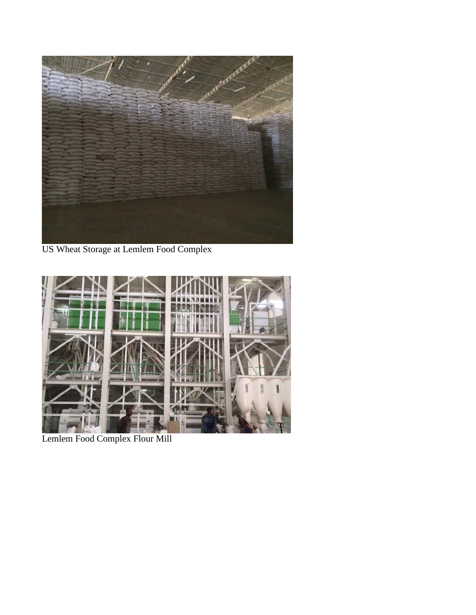

US Wheat Storage at Lemlem Food Complex



Lemlem Food Complex Flour Mill